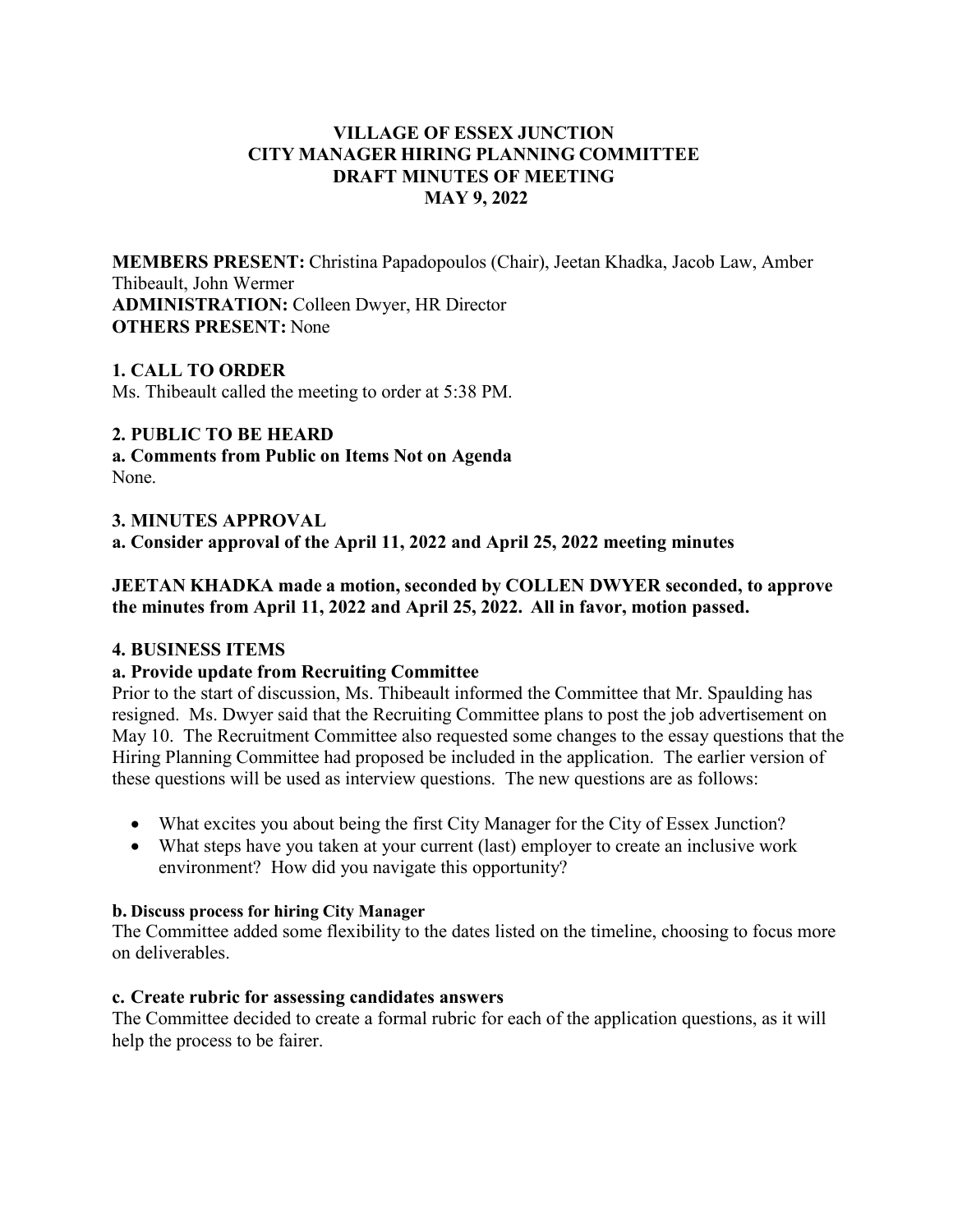## **VILLAGE OF ESSEX JUNCTION CITY MANAGER HIRING PLANNING COMMITTEE DRAFT MINUTES OF MEETING MAY 9, 2022**

**MEMBERS PRESENT:** Christina Papadopoulos (Chair), Jeetan Khadka, Jacob Law, Amber Thibeault, John Wermer **ADMINISTRATION:** Colleen Dwyer, HR Director **OTHERS PRESENT:** None

## **1. CALL TO ORDER**

Ms. Thibeault called the meeting to order at 5:38 PM.

## **2. PUBLIC TO BE HEARD**

**a. Comments from Public on Items Not on Agenda** None.

#### **3. MINUTES APPROVAL**

**a. Consider approval of the April 11, 2022 and April 25, 2022 meeting minutes**

## **JEETAN KHADKA made a motion, seconded by COLLEN DWYER seconded, to approve the minutes from April 11, 2022 and April 25, 2022. All in favor, motion passed.**

#### **4. BUSINESS ITEMS**

#### **a. Provide update from Recruiting Committee**

Prior to the start of discussion, Ms. Thibeault informed the Committee that Mr. Spaulding has resigned. Ms. Dwyer said that the Recruiting Committee plans to post the job advertisement on May 10. The Recruitment Committee also requested some changes to the essay questions that the Hiring Planning Committee had proposed be included in the application. The earlier version of these questions will be used as interview questions. The new questions are as follows:

- What excites you about being the first City Manager for the City of Essex Junction?
- What steps have you taken at your current (last) employer to create an inclusive work environment? How did you navigate this opportunity?

#### **b. Discuss process for hiring City Manager**

The Committee added some flexibility to the dates listed on the timeline, choosing to focus more on deliverables.

## **c. Create rubric for assessing candidates answers**

The Committee decided to create a formal rubric for each of the application questions, as it will help the process to be fairer.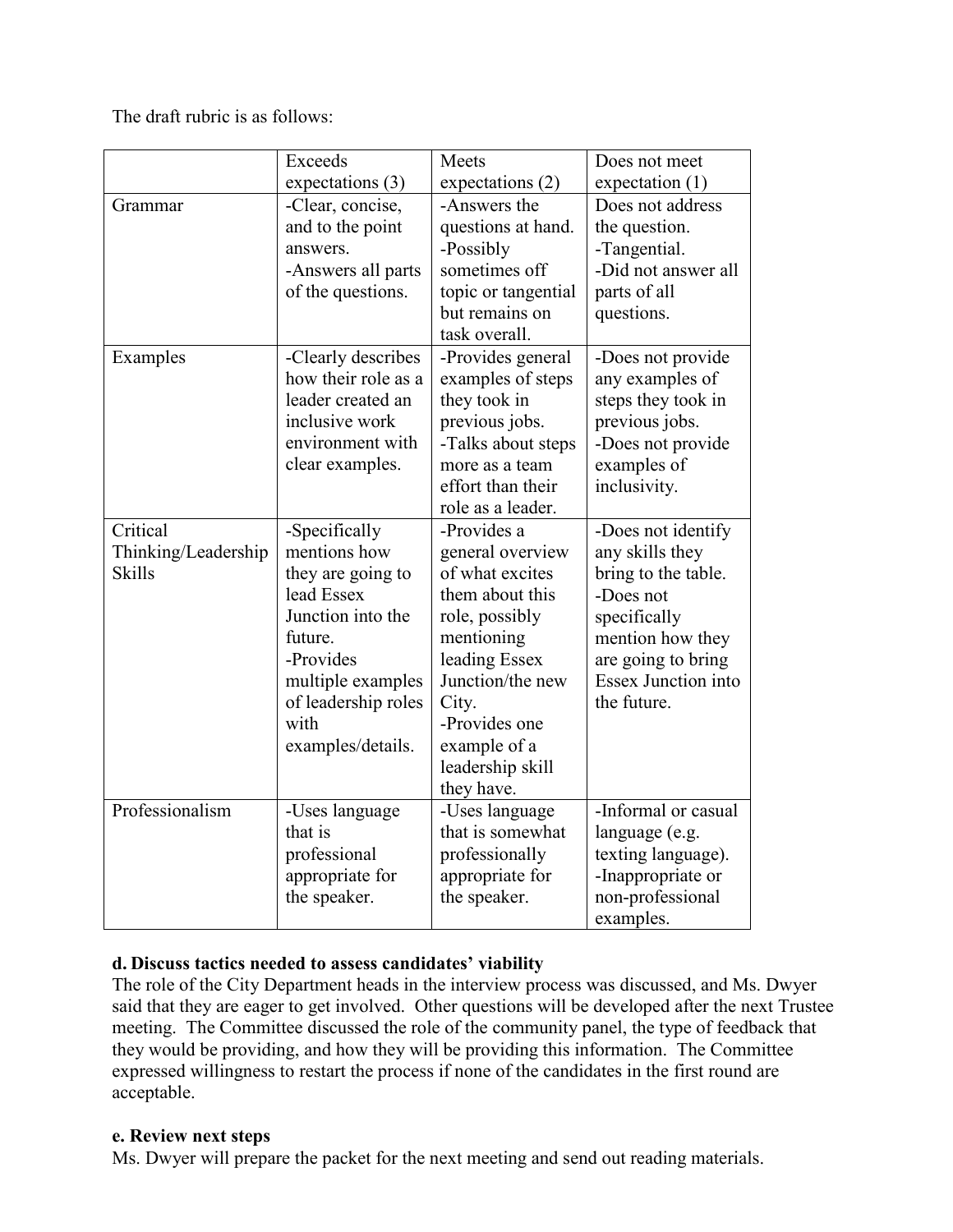The draft rubric is as follows:

|                     | <b>Exceeds</b>                  | Meets                              | Does not meet                    |
|---------------------|---------------------------------|------------------------------------|----------------------------------|
|                     | expectations (3)                | expectations (2)                   | expectation $(1)$                |
| Grammar             | -Clear, concise,                | -Answers the                       | Does not address                 |
|                     | and to the point                | questions at hand.                 | the question.                    |
|                     | answers.                        | -Possibly                          | -Tangential.                     |
|                     | -Answers all parts              | sometimes off                      | -Did not answer all              |
|                     | of the questions.               | topic or tangential                | parts of all                     |
|                     |                                 | but remains on                     | questions.                       |
|                     |                                 | task overall.                      |                                  |
| Examples            | -Clearly describes              | -Provides general                  | -Does not provide                |
|                     | how their role as a             | examples of steps                  | any examples of                  |
|                     | leader created an               | they took in                       | steps they took in               |
|                     | inclusive work                  | previous jobs.                     | previous jobs.                   |
|                     | environment with                | -Talks about steps                 | -Does not provide                |
|                     | clear examples.                 | more as a team                     | examples of                      |
|                     |                                 | effort than their                  | inclusivity.                     |
|                     |                                 | role as a leader.                  |                                  |
| Critical            | -Specifically                   | -Provides a                        | -Does not identify               |
| Thinking/Leadership | mentions how                    | general overview                   | any skills they                  |
| <b>Skills</b>       | they are going to<br>lead Essex | of what excites<br>them about this | bring to the table.<br>-Does not |
|                     | Junction into the               | role, possibly                     |                                  |
|                     | future.                         | mentioning                         | specifically<br>mention how they |
|                     | -Provides                       | leading Essex                      | are going to bring               |
|                     | multiple examples               | Junction/the new                   | <b>Essex Junction into</b>       |
|                     | of leadership roles             | City.                              | the future.                      |
|                     | with                            | -Provides one                      |                                  |
|                     | examples/details.               | example of a                       |                                  |
|                     |                                 | leadership skill                   |                                  |
|                     |                                 | they have.                         |                                  |
| Professionalism     | -Uses language                  | -Uses language                     | -Informal or casual              |
|                     | that is                         | that is somewhat                   | language (e.g.                   |
|                     | professional                    | professionally                     | texting language).               |
|                     | appropriate for                 | appropriate for                    | -Inappropriate or                |
|                     | the speaker.                    | the speaker.                       | non-professional                 |
|                     |                                 |                                    | examples.                        |

# **d. Discuss tactics needed to assess candidates' viability**

The role of the City Department heads in the interview process was discussed, and Ms. Dwyer said that they are eager to get involved. Other questions will be developed after the next Trustee meeting. The Committee discussed the role of the community panel, the type of feedback that they would be providing, and how they will be providing this information. The Committee expressed willingness to restart the process if none of the candidates in the first round are acceptable.

# **e. Review next steps**

Ms. Dwyer will prepare the packet for the next meeting and send out reading materials.